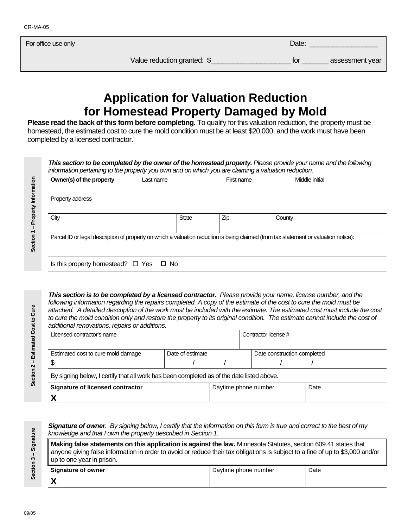For office use only **Date:**  $\Box$  Date:  $\Box$  Date:  $\Box$  Date:  $\Box$  Date:  $\Box$  Date:  $\Box$ 

Value reduction granted: \$ \_\_\_\_\_\_\_\_\_\_\_\_\_\_\_\_\_\_\_\_\_\_\_\_\_ for \_\_\_\_\_\_\_\_ assessment year

## **Application for Valuation Reduction for Homestead Property Damaged by Mold**

**Please read the back of this form before completing.** To qualify for this valuation reduction, the property must be homestead, the estimated cost to cure the mold condition must be at least \$20,000, and the work must have been completed by a licensed contractor.

*This section to be completed by the owner of the homestead property. Please provide your name and the following information pertaining to the property you own and on which you are claiming a valuation reduction.* 

| Property address<br>Zip<br><b>State</b><br>County                                                                                    |
|--------------------------------------------------------------------------------------------------------------------------------------|
| City                                                                                                                                 |
|                                                                                                                                      |
| Parcel ID or legal description of property on which a valuation reduction is being claimed (from tax statement or valuation notice): |

*This section is to be completed by a licensed contractor. Please provide your name, license number, and the following information regarding the repairs completed. A copy of the estimate of the cost to cure the mold must be attached. A detailed description of the work must be included with the estimate. The estimated cost must include the cost*  to cure the mold condition only and restore the property to its original condition. The estimate cannot include the cost of *additional renovations, repairs or additions.*

| Licensed contractor's name                                                                |                  | Contractor license # |  |                             |      |  |  |
|-------------------------------------------------------------------------------------------|------------------|----------------------|--|-----------------------------|------|--|--|
| Estimated cost to cure mold damage                                                        | Date of estimate |                      |  | Date construction completed |      |  |  |
| By signing below, I certify that all work has been completed as of the date listed above. |                  |                      |  |                             |      |  |  |
| Signature of licensed contractor                                                          |                  | Daytime phone number |  |                             | Date |  |  |
|                                                                                           |                  |                      |  |                             |      |  |  |

*Signature of owner. By signing below, I certify that the information on this form is true and correct to the best of my knowledge and that I own the property described in Section 1.* 

| Making false statements on this application is against the law. Minnesota Statutes, section 609.41 states that<br>anyone giving false information in order to avoid or reduce their tax obligations is subject to a fine of up to \$3,000 and/or<br>up to one year in prison. |                      |      |  |  |  |
|-------------------------------------------------------------------------------------------------------------------------------------------------------------------------------------------------------------------------------------------------------------------------------|----------------------|------|--|--|--|
| Signature of owner                                                                                                                                                                                                                                                            | Daytime phone number | Date |  |  |  |
|                                                                                                                                                                                                                                                                               |                      |      |  |  |  |

**Section 1 – Property Information** 

Section 1 - Property Information

Section 3 -- Signature **Section 3 -- Signature**